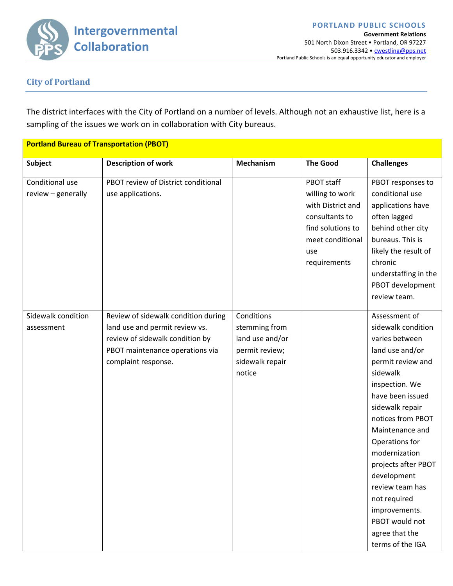**Intergovernmental Collaboration**

**Government Relations** 501 North Dixon Street • Portland, OR 97227 503.916.3342 • cwestling@pps.net Portland Public Schools is an equal opportunity educator and employer

**PORTLAND PUBLIC SCHOOLS**

## **City of Portland**

The district interfaces with the City of Portland on a number of levels. Although not an exhaustive list, here is a sampling of the issues we work on in collaboration with City bureaus.

| <b>Portland Bureau of Transportation (PBOT)</b> |                                     |                  |                   |                      |
|-------------------------------------------------|-------------------------------------|------------------|-------------------|----------------------|
| <b>Subject</b>                                  | <b>Description of work</b>          | <b>Mechanism</b> | <b>The Good</b>   | <b>Challenges</b>    |
| Conditional use                                 | PBOT review of District conditional |                  | PBOT staff        | PBOT responses to    |
| review - generally                              | use applications.                   |                  | willing to work   | conditional use      |
|                                                 |                                     |                  | with District and | applications have    |
|                                                 |                                     |                  | consultants to    | often lagged         |
|                                                 |                                     |                  | find solutions to | behind other city    |
|                                                 |                                     |                  | meet conditional  | bureaus. This is     |
|                                                 |                                     |                  | use               | likely the result of |
|                                                 |                                     |                  | requirements      | chronic              |
|                                                 |                                     |                  |                   | understaffing in the |
|                                                 |                                     |                  |                   | PBOT development     |
|                                                 |                                     |                  |                   | review team.         |
| Sidewalk condition                              | Review of sidewalk condition during | Conditions       |                   | Assessment of        |
| assessment                                      | land use and permit review vs.      | stemming from    |                   | sidewalk condition   |
|                                                 | review of sidewalk condition by     | land use and/or  |                   | varies between       |
|                                                 | PBOT maintenance operations via     | permit review;   |                   | land use and/or      |
|                                                 | complaint response.                 | sidewalk repair  |                   | permit review and    |
|                                                 |                                     | notice           |                   | sidewalk             |
|                                                 |                                     |                  |                   | inspection. We       |
|                                                 |                                     |                  |                   | have been issued     |
|                                                 |                                     |                  |                   | sidewalk repair      |
|                                                 |                                     |                  |                   | notices from PBOT    |
|                                                 |                                     |                  |                   | Maintenance and      |
|                                                 |                                     |                  |                   | Operations for       |
|                                                 |                                     |                  |                   | modernization        |
|                                                 |                                     |                  |                   | projects after PBOT  |
|                                                 |                                     |                  |                   | development          |
|                                                 |                                     |                  |                   | review team has      |
|                                                 |                                     |                  |                   | not required         |
|                                                 |                                     |                  |                   | improvements.        |
|                                                 |                                     |                  |                   | PBOT would not       |
|                                                 |                                     |                  |                   | agree that the       |
|                                                 |                                     |                  |                   | terms of the IGA     |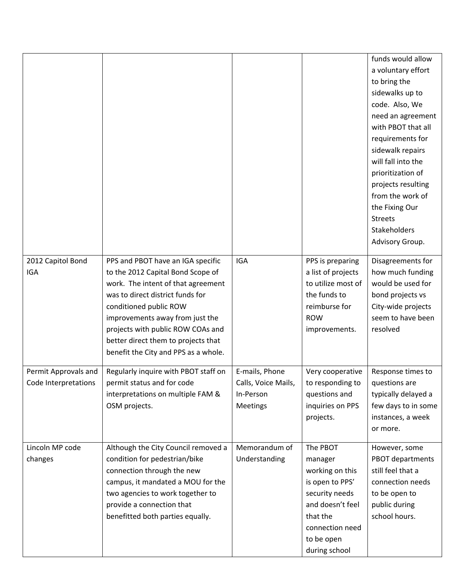|                      |                                                                        |                     |                                          | funds would allow                     |
|----------------------|------------------------------------------------------------------------|---------------------|------------------------------------------|---------------------------------------|
|                      |                                                                        |                     |                                          | a voluntary effort                    |
|                      |                                                                        |                     |                                          | to bring the                          |
|                      |                                                                        |                     |                                          | sidewalks up to                       |
|                      |                                                                        |                     |                                          | code. Also, We                        |
|                      |                                                                        |                     |                                          | need an agreement                     |
|                      |                                                                        |                     |                                          | with PBOT that all                    |
|                      |                                                                        |                     |                                          | requirements for                      |
|                      |                                                                        |                     |                                          | sidewalk repairs                      |
|                      |                                                                        |                     |                                          | will fall into the                    |
|                      |                                                                        |                     |                                          | prioritization of                     |
|                      |                                                                        |                     |                                          | projects resulting                    |
|                      |                                                                        |                     |                                          | from the work of                      |
|                      |                                                                        |                     |                                          | the Fixing Our                        |
|                      |                                                                        |                     |                                          | <b>Streets</b>                        |
|                      |                                                                        |                     |                                          | Stakeholders                          |
|                      |                                                                        |                     |                                          | Advisory Group.                       |
|                      |                                                                        |                     |                                          |                                       |
| 2012 Capitol Bond    | PPS and PBOT have an IGA specific                                      | <b>IGA</b>          | PPS is preparing                         | Disagreements for                     |
| <b>IGA</b>           | to the 2012 Capital Bond Scope of                                      |                     | a list of projects<br>to utilize most of | how much funding<br>would be used for |
|                      | work. The intent of that agreement<br>was to direct district funds for |                     | the funds to                             | bond projects vs                      |
|                      | conditioned public ROW                                                 |                     | reimburse for                            | City-wide projects                    |
|                      | improvements away from just the                                        |                     | <b>ROW</b>                               | seem to have been                     |
|                      | projects with public ROW COAs and                                      |                     | improvements.                            | resolved                              |
|                      | better direct them to projects that                                    |                     |                                          |                                       |
|                      | benefit the City and PPS as a whole.                                   |                     |                                          |                                       |
|                      |                                                                        |                     |                                          |                                       |
| Permit Approvals and | Regularly inquire with PBOT staff on                                   | E-mails, Phone      | Very cooperative                         | Response times to                     |
| Code Interpretations | permit status and for code                                             | Calls, Voice Mails, | to responding to                         | questions are                         |
|                      | interpretations on multiple FAM &                                      | In-Person           | questions and                            | typically delayed a                   |
|                      | OSM projects.                                                          | <b>Meetings</b>     | inquiries on PPS                         | few days to in some                   |
|                      |                                                                        |                     | projects.                                | instances, a week                     |
|                      |                                                                        |                     |                                          | or more.                              |
| Lincoln MP code      | Although the City Council removed a                                    | Memorandum of       | The PBOT                                 | However, some                         |
| changes              | condition for pedestrian/bike                                          | Understanding       | manager                                  | PBOT departments                      |
|                      | connection through the new                                             |                     | working on this                          | still feel that a                     |
|                      | campus, it mandated a MOU for the                                      |                     | is open to PPS'                          | connection needs                      |
|                      | two agencies to work together to                                       |                     | security needs                           | to be open to                         |
|                      | provide a connection that                                              |                     | and doesn't feel                         | public during                         |
|                      | benefitted both parties equally.                                       |                     | that the                                 | school hours.                         |
|                      |                                                                        |                     | connection need                          |                                       |
|                      |                                                                        |                     | to be open                               |                                       |
|                      |                                                                        |                     | during school                            |                                       |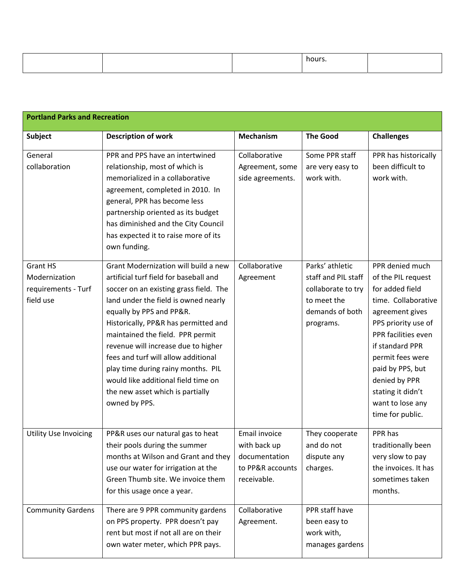|  | hours |  |
|--|-------|--|
|  |       |  |

| <b>Portland Parks and Recreation</b>                                 |                                                                                                                                                                                                                                                                                                                                                                                                                                                                                          |                                                                                   |                                                                                                             |                                                                                                                                                                                                                                                                                           |
|----------------------------------------------------------------------|------------------------------------------------------------------------------------------------------------------------------------------------------------------------------------------------------------------------------------------------------------------------------------------------------------------------------------------------------------------------------------------------------------------------------------------------------------------------------------------|-----------------------------------------------------------------------------------|-------------------------------------------------------------------------------------------------------------|-------------------------------------------------------------------------------------------------------------------------------------------------------------------------------------------------------------------------------------------------------------------------------------------|
| <b>Subject</b>                                                       | <b>Description of work</b>                                                                                                                                                                                                                                                                                                                                                                                                                                                               | <b>Mechanism</b>                                                                  | <b>The Good</b>                                                                                             | <b>Challenges</b>                                                                                                                                                                                                                                                                         |
| General<br>collaboration                                             | PPR and PPS have an intertwined<br>relationship, most of which is<br>memorialized in a collaborative<br>agreement, completed in 2010. In<br>general, PPR has become less<br>partnership oriented as its budget<br>has diminished and the City Council<br>has expected it to raise more of its<br>own funding.                                                                                                                                                                            | Collaborative<br>Agreement, some<br>side agreements.                              | Some PPR staff<br>are very easy to<br>work with.                                                            | PPR has historically<br>been difficult to<br>work with.                                                                                                                                                                                                                                   |
| <b>Grant HS</b><br>Modernization<br>requirements - Turf<br>field use | Grant Modernization will build a new<br>artificial turf field for baseball and<br>soccer on an existing grass field. The<br>land under the field is owned nearly<br>equally by PPS and PP&R.<br>Historically, PP&R has permitted and<br>maintained the field. PPR permit<br>revenue will increase due to higher<br>fees and turf will allow additional<br>play time during rainy months. PIL<br>would like additional field time on<br>the new asset which is partially<br>owned by PPS. | Collaborative<br>Agreement                                                        | Parks' athletic<br>staff and PIL staff<br>collaborate to try<br>to meet the<br>demands of both<br>programs. | PPR denied much<br>of the PIL request<br>for added field<br>time. Collaborative<br>agreement gives<br>PPS priority use of<br>PPR facilities even<br>if standard PPR<br>permit fees were<br>paid by PPS, but<br>denied by PPR<br>stating it didn't<br>want to lose any<br>time for public. |
| <b>Utility Use Invoicing</b>                                         | PP&R uses our natural gas to heat<br>their pools during the summer<br>months at Wilson and Grant and they<br>use our water for irrigation at the<br>Green Thumb site. We invoice them<br>for this usage once a year.                                                                                                                                                                                                                                                                     | Email invoice<br>with back up<br>documentation<br>to PP&R accounts<br>receivable. | They cooperate<br>and do not<br>dispute any<br>charges.                                                     | PPR has<br>traditionally been<br>very slow to pay<br>the invoices. It has<br>sometimes taken<br>months.                                                                                                                                                                                   |
| <b>Community Gardens</b>                                             | There are 9 PPR community gardens<br>on PPS property. PPR doesn't pay<br>rent but most if not all are on their<br>own water meter, which PPR pays.                                                                                                                                                                                                                                                                                                                                       | Collaborative<br>Agreement.                                                       | PPR staff have<br>been easy to<br>work with,<br>manages gardens                                             |                                                                                                                                                                                                                                                                                           |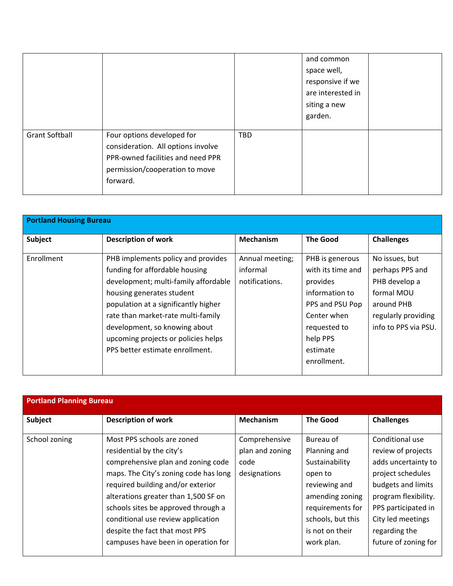|                       |                                                                                                                                                     |     | and common<br>space well,<br>responsive if we<br>are interested in<br>siting a new<br>garden. |  |
|-----------------------|-----------------------------------------------------------------------------------------------------------------------------------------------------|-----|-----------------------------------------------------------------------------------------------|--|
| <b>Grant Softball</b> | Four options developed for<br>consideration. All options involve<br>PPR-owned facilities and need PPR<br>permission/cooperation to move<br>forward. | TBD |                                                                                               |  |

| <b>Portland Housing Bureau</b> |                                                                                                                                                                                                                                                                                                                                    |                                               |                                                                                                                                              |                                                                                                                               |  |
|--------------------------------|------------------------------------------------------------------------------------------------------------------------------------------------------------------------------------------------------------------------------------------------------------------------------------------------------------------------------------|-----------------------------------------------|----------------------------------------------------------------------------------------------------------------------------------------------|-------------------------------------------------------------------------------------------------------------------------------|--|
| Subject                        | <b>Description of work</b>                                                                                                                                                                                                                                                                                                         | <b>Mechanism</b>                              | <b>The Good</b>                                                                                                                              | <b>Challenges</b>                                                                                                             |  |
| Enrollment                     | PHB implements policy and provides<br>funding for affordable housing<br>development; multi-family affordable<br>housing generates student<br>population at a significantly higher<br>rate than market-rate multi-family<br>development, so knowing about<br>upcoming projects or policies helps<br>PPS better estimate enrollment. | Annual meeting;<br>informal<br>notifications. | PHB is generous<br>with its time and<br>provides<br>information to<br>PPS and PSU Pop<br>Center when<br>requested to<br>help PPS<br>estimate | No issues, but<br>perhaps PPS and<br>PHB develop a<br>formal MOU<br>around PHB<br>regularly providing<br>info to PPS via PSU. |  |
|                                |                                                                                                                                                                                                                                                                                                                                    |                                               | enrollment.                                                                                                                                  |                                                                                                                               |  |

| <b>Portland Planning Bureau</b> |                                       |                  |                   |                      |  |
|---------------------------------|---------------------------------------|------------------|-------------------|----------------------|--|
| Subject                         | <b>Description of work</b>            | <b>Mechanism</b> | <b>The Good</b>   | <b>Challenges</b>    |  |
| School zoning                   | Most PPS schools are zoned            | Comprehensive    | Bureau of         | Conditional use      |  |
|                                 | residential by the city's             | plan and zoning  | Planning and      | review of projects   |  |
|                                 | comprehensive plan and zoning code    | code             | Sustainability    | adds uncertainty to  |  |
|                                 | maps. The City's zoning code has long | designations     | open to           | project schedules    |  |
|                                 | required building and/or exterior     |                  | reviewing and     | budgets and limits   |  |
|                                 | alterations greater than 1,500 SF on  |                  | amending zoning   | program flexibility. |  |
|                                 | schools sites be approved through a   |                  | requirements for  | PPS participated in  |  |
|                                 | conditional use review application    |                  | schools, but this | City led meetings    |  |
|                                 | despite the fact that most PPS        |                  | is not on their   | regarding the        |  |
|                                 | campuses have been in operation for   |                  | work plan.        | future of zoning for |  |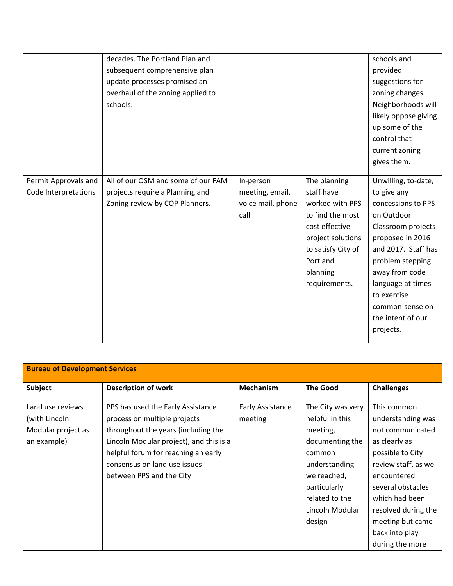| Permit Approvals and | decades. The Portland Plan and<br>subsequent comprehensive plan<br>update processes promised an<br>overhaul of the zoning applied to<br>schools.<br>All of our OSM and some of our FAM | In-person                                    | The planning                                                                                                                                            | schools and<br>provided<br>suggestions for<br>zoning changes.<br>Neighborhoods will<br>likely oppose giving<br>up some of the<br>control that<br>current zoning<br>gives them.<br>Unwilling, to-date,                                           |
|----------------------|----------------------------------------------------------------------------------------------------------------------------------------------------------------------------------------|----------------------------------------------|---------------------------------------------------------------------------------------------------------------------------------------------------------|-------------------------------------------------------------------------------------------------------------------------------------------------------------------------------------------------------------------------------------------------|
| Code Interpretations | projects require a Planning and<br>Zoning review by COP Planners.                                                                                                                      | meeting, email,<br>voice mail, phone<br>call | staff have<br>worked with PPS<br>to find the most<br>cost effective<br>project solutions<br>to satisfy City of<br>Portland<br>planning<br>requirements. | to give any<br>concessions to PPS<br>on Outdoor<br>Classroom projects<br>proposed in 2016<br>and 2017. Staff has<br>problem stepping<br>away from code<br>language at times<br>to exercise<br>common-sense on<br>the intent of our<br>projects. |

| <b>Bureau of Development Services</b> |                                         |                  |                   |                     |  |
|---------------------------------------|-----------------------------------------|------------------|-------------------|---------------------|--|
| Subject                               | <b>Description of work</b>              | <b>Mechanism</b> | <b>The Good</b>   | <b>Challenges</b>   |  |
| Land use reviews                      | PPS has used the Early Assistance       | Early Assistance | The City was very | This common         |  |
| (with Lincoln                         | process on multiple projects            | meeting          | helpful in this   | understanding was   |  |
| Modular project as                    | throughout the years (including the     |                  | meeting,          | not communicated    |  |
| an example)                           | Lincoln Modular project), and this is a |                  | documenting the   | as clearly as       |  |
|                                       | helpful forum for reaching an early     |                  | common            | possible to City    |  |
|                                       | consensus on land use issues            |                  | understanding     | review staff, as we |  |
|                                       | between PPS and the City                |                  | we reached,       | encountered         |  |
|                                       |                                         |                  | particularly      | several obstacles   |  |
|                                       |                                         |                  | related to the    | which had been      |  |
|                                       |                                         |                  | Lincoln Modular   | resolved during the |  |
|                                       |                                         |                  | design            | meeting but came    |  |
|                                       |                                         |                  |                   | back into play      |  |
|                                       |                                         |                  |                   | during the more     |  |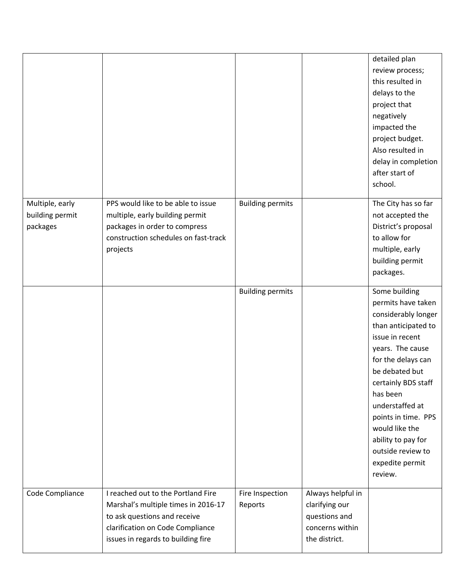|                             |                                                                                                                                                                                     |                            |                                                                                          | detailed plan<br>review process;<br>this resulted in<br>delays to the<br>project that<br>negatively<br>impacted the<br>project budget.<br>Also resulted in<br>delay in completion<br>after start of<br>school.                                                                                                                           |
|-----------------------------|-------------------------------------------------------------------------------------------------------------------------------------------------------------------------------------|----------------------------|------------------------------------------------------------------------------------------|------------------------------------------------------------------------------------------------------------------------------------------------------------------------------------------------------------------------------------------------------------------------------------------------------------------------------------------|
| Multiple, early             | PPS would like to be able to issue                                                                                                                                                  | <b>Building permits</b>    |                                                                                          | The City has so far                                                                                                                                                                                                                                                                                                                      |
| building permit<br>packages | multiple, early building permit<br>packages in order to compress<br>construction schedules on fast-track<br>projects                                                                |                            |                                                                                          | not accepted the<br>District's proposal<br>to allow for<br>multiple, early<br>building permit<br>packages.                                                                                                                                                                                                                               |
|                             |                                                                                                                                                                                     | <b>Building permits</b>    |                                                                                          | Some building<br>permits have taken<br>considerably longer<br>than anticipated to<br>issue in recent<br>years. The cause<br>for the delays can<br>be debated but<br>certainly BDS staff<br>has been<br>understaffed at<br>points in time. PPS<br>would like the<br>ability to pay for<br>outside review to<br>expedite permit<br>review. |
| Code Compliance             | I reached out to the Portland Fire<br>Marshal's multiple times in 2016-17<br>to ask questions and receive<br>clarification on Code Compliance<br>issues in regards to building fire | Fire Inspection<br>Reports | Always helpful in<br>clarifying our<br>questions and<br>concerns within<br>the district. |                                                                                                                                                                                                                                                                                                                                          |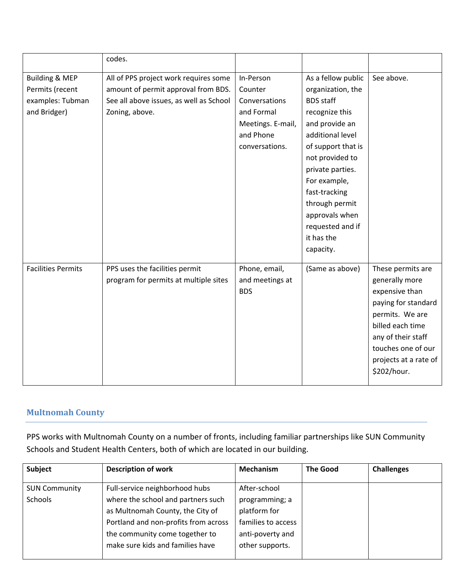|                           | codes.                                  |                   |                    |                       |
|---------------------------|-----------------------------------------|-------------------|--------------------|-----------------------|
| <b>Building &amp; MEP</b> | All of PPS project work requires some   | In-Person         | As a fellow public | See above.            |
| Permits (recent           | amount of permit approval from BDS.     | Counter           | organization, the  |                       |
| examples: Tubman          | See all above issues, as well as School | Conversations     | <b>BDS</b> staff   |                       |
| and Bridger)              | Zoning, above.                          | and Formal        | recognize this     |                       |
|                           |                                         | Meetings. E-mail, | and provide an     |                       |
|                           |                                         | and Phone         | additional level   |                       |
|                           |                                         | conversations.    | of support that is |                       |
|                           |                                         |                   | not provided to    |                       |
|                           |                                         |                   | private parties.   |                       |
|                           |                                         |                   | For example,       |                       |
|                           |                                         |                   | fast-tracking      |                       |
|                           |                                         |                   | through permit     |                       |
|                           |                                         |                   | approvals when     |                       |
|                           |                                         |                   | requested and if   |                       |
|                           |                                         |                   | it has the         |                       |
|                           |                                         |                   | capacity.          |                       |
| <b>Facilities Permits</b> | PPS uses the facilities permit          | Phone, email,     | (Same as above)    | These permits are     |
|                           | program for permits at multiple sites   | and meetings at   |                    | generally more        |
|                           |                                         | <b>BDS</b>        |                    | expensive than        |
|                           |                                         |                   |                    | paying for standard   |
|                           |                                         |                   |                    | permits. We are       |
|                           |                                         |                   |                    | billed each time      |
|                           |                                         |                   |                    | any of their staff    |
|                           |                                         |                   |                    | touches one of our    |
|                           |                                         |                   |                    | projects at a rate of |
|                           |                                         |                   |                    | \$202/hour.           |
|                           |                                         |                   |                    |                       |

## **Multnomah County**

PPS works with Multnomah County on a number of fronts, including familiar partnerships like SUN Community Schools and Student Health Centers, both of which are located in our building.

| Subject              | <b>Description of work</b>           | Mechanism          | <b>The Good</b> | <b>Challenges</b> |
|----------------------|--------------------------------------|--------------------|-----------------|-------------------|
|                      |                                      |                    |                 |                   |
| <b>SUN Community</b> | Full-service neighborhood hubs       | After-school       |                 |                   |
| Schools              | where the school and partners such   | programming; a     |                 |                   |
|                      | as Multnomah County, the City of     | platform for       |                 |                   |
|                      | Portland and non-profits from across | families to access |                 |                   |
|                      | the community come together to       | anti-poverty and   |                 |                   |
|                      | make sure kids and families have     | other supports.    |                 |                   |
|                      |                                      |                    |                 |                   |